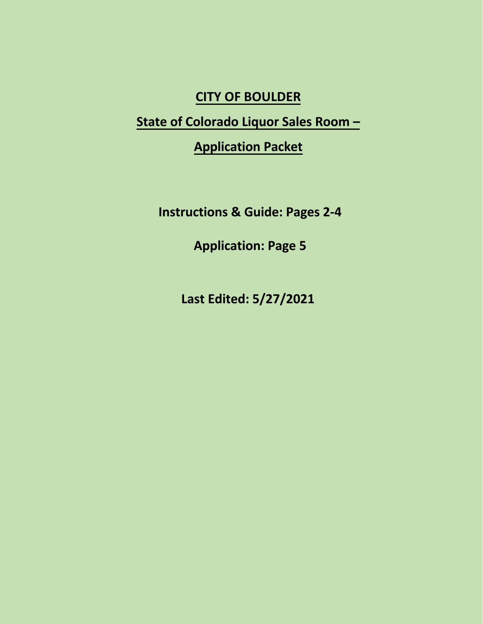# **CITY OF BOULDER**

# **State of Colorado Liquor Sales Room –**

**Application Packet**

**Instructions & Guide: Pages 2-4**

**Application: Page 5**

**Last Edited: 5/27/2021**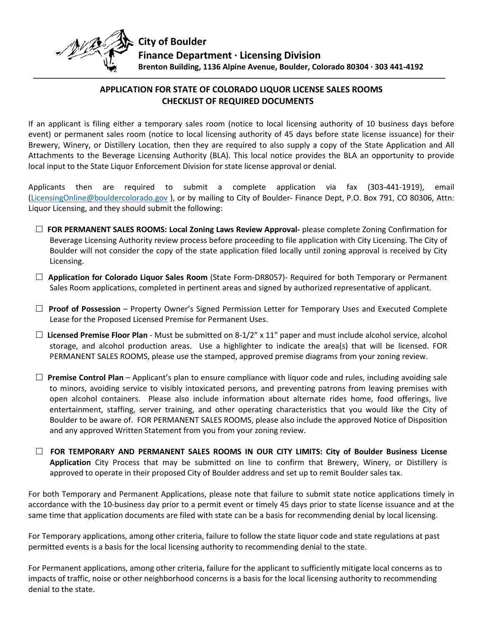

### **APPLICATION FOR STATE OF COLORADO LIQUOR LICENSE SALES ROOMS CHECKLIST OF REQUIRED DOCUMENTS**

If an applicant is filing either a temporary sales room (notice to local licensing authority of 10 business days before event) or permanent sales room (notice to local licensing authority of 45 days before state license issuance) for their Brewery, Winery, or Distillery Location, then they are required to also supply a copy of the State Application and All Attachments to the Beverage Licensing Authority (BLA). This local notice provides the BLA an opportunity to provide local input to the State Liquor Enforcement Division for state license approval or denial.

Applicants then are required to submit a complete application via fax (303-441-1919), email [\(LicensingOnline@bouldercolorado.gov](mailto:LicensingOnline@bouldercolorado.gov) ), or by mailing to City of Boulder- Finance Dept, P.O. Box 791, CO 80306, Attn: Liquor Licensing, and they should submit the following:

- **FOR PERMANENT SALES ROOMS: Local Zoning Laws Review Approval-** please complete Zoning Confirmation for Beverage Licensing Authority review process before proceeding to file application with City Licensing. The City of Boulder will not consider the copy of the state application filed locally until zoning approval is received by City Licensing.
- **Application for Colorado Liquor Sales Room** (State Form-DR8057)- Required for both Temporary or Permanent Sales Room applications, completed in pertinent areas and signed by authorized representative of applicant.
- **Proof of Possession** Property Owner's Signed Permission Letter for Temporary Uses and Executed Complete Lease for the Proposed Licensed Premise for Permanent Uses.
- **Licensed Premise Floor Plan** Must be submitted on 8-1/2" x 11" paper and must include alcohol service, alcohol storage, and alcohol production areas. Use a highlighter to indicate the area(s) that will be licensed. FOR PERMANENT SALES ROOMS, please use the stamped, approved premise diagrams from your zoning review.
- $\Box$  **Premise Control Plan** Applicant's plan to ensure compliance with liquor code and rules, including avoiding sale to minors, avoiding service to visibly intoxicated persons, and preventing patrons from leaving premises with open alcohol containers. Please also include information about alternate rides home, food offerings, live entertainment, staffing, server training, and other operating characteristics that you would like the City of Boulder to be aware of. FOR PERMANENT SALES ROOMS, please also include the approved Notice of Disposition and any approved Written Statement from you from your zoning review.
- **FOR TEMPORARY AND PERMANENT SALES ROOMS IN OUR CITY LIMITS: City of Boulder Business License Application** City Process that may be submitted on line to confirm that Brewery, Winery, or Distillery is approved to operate in their proposed City of Boulder address and set up to remit Boulder sales tax.

For both Temporary and Permanent Applications, please note that failure to submit state notice applications timely in accordance with the 10-business day prior to a permit event or timely 45 days prior to state license issuance and at the same time that application documents are filed with state can be a basis for recommending denial by local licensing.

For Temporary applications, among other criteria, failure to follow the state liquor code and state regulations at past permitted events is a basis for the local licensing authority to recommending denial to the state.

For Permanent applications, among other criteria, failure for the applicant to sufficiently mitigate local concerns as to impacts of traffic, noise or other neighborhood concerns is a basis for the local licensing authority to recommending denial to the state.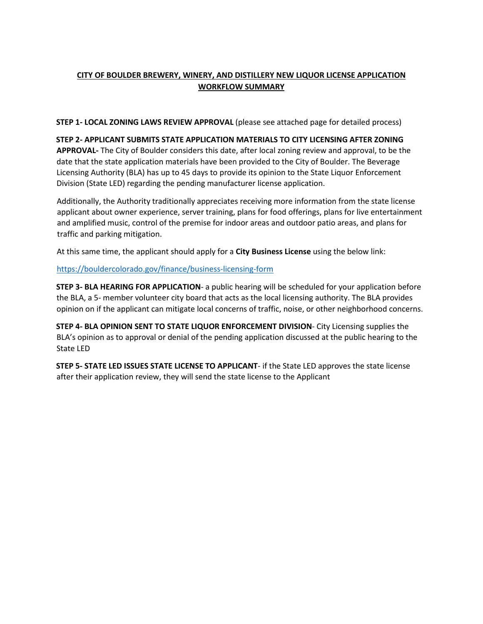### **CITY OF BOULDER BREWERY, WINERY, AND DISTILLERY NEW LIQUOR LICENSE APPLICATION WORKFLOW SUMMARY**

**STEP 1- LOCAL ZONING LAWS REVIEW APPROVAL** (please see attached page for detailed process)

#### **STEP 2- APPLICANT SUBMITS STATE APPLICATION MATERIALS TO CITY LICENSING AFTER ZONING APPROVAL-** The City of Boulder considers this date, after local zoning review and approval, to be the date that the state application materials have been provided to the City of Boulder. The Beverage Licensing Authority (BLA) has up to 45 days to provide its opinion to the State Liquor Enforcement Division (State LED) regarding the pending manufacturer license application.

Additionally, the Authority traditionally appreciates receiving more information from the state license applicant about owner experience, server training, plans for food offerings, plans for live entertainment and amplified music, control of the premise for indoor areas and outdoor patio areas, and plans for traffic and parking mitigation.

At this same time, the applicant should apply for a **City Business License** using the below link:

#### <https://bouldercolorado.gov/finance/business-licensing-form>

**STEP 3- BLA HEARING FOR APPLICATION**- a public hearing will be scheduled for your application before the BLA, a 5- member volunteer city board that acts as the local licensing authority. The BLA provides opinion on if the applicant can mitigate local concerns of traffic, noise, or other neighborhood concerns.

**STEP 4- BLA OPINION SENT TO STATE LIQUOR ENFORCEMENT DIVISION**- City Licensing supplies the BLA's opinion as to approval or denial of the pending application discussed at the public hearing to the State LED

**STEP 5- STATE LED ISSUES STATE LICENSE TO APPLICANT**- if the State LED approves the state license after their application review, they will send the state license to the Applicant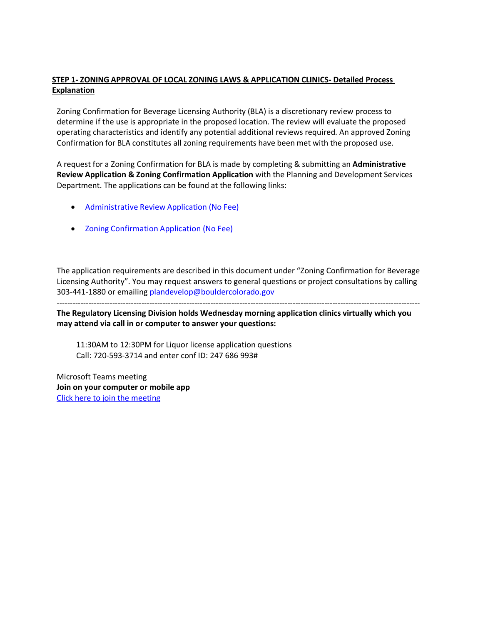#### **STEP 1- ZONING APPROVAL OF LOCAL ZONING LAWS & APPLICATION CLINICS- Detailed Process Explanation**

Zoning Confirmation for Beverage Licensing Authority (BLA) is a discretionary review process to determine if the use is appropriate in the proposed location. The review will evaluate the proposed operating characteristics and identify any potential additional reviews required. An approved Zoning Confirmation for BLA constitutes all zoning requirements have been met with the proposed use.

A request for a Zoning Confirmation for BLA is made by completing & submitting an **Administrative Review Application & Zoning Confirmation Application** with the Planning and Development Services Department. The applications can be found at the following links:

- [Administrative](https://bouldercolorado.gov/plan-develop-appliations-and-forms) Review Application (No Fee)
- Zoning [Confirmation](https://bouldercolorado.gov/plan-develop-appliations-and-forms) Application (No Fee)

The application requirements are described in this document under "Zoning Confirmation for Beverage Licensing Authority". You may request answers to general questions or project consultations by calling 303-441-1880 or emailin[g plandevelop@bouldercolorado.gov](mailto:plandevelop@bouldercolorado.gov)

-----------------------------------------------------------------------------------------------------------------------------------------

**The Regulatory Licensing Division holds Wednesday morning application clinics virtually which you may attend via call in or computer to answer your questions:**

11:30AM to 12:30PM for Liquor license application questions Call: 720-593-3714 and enter conf ID: 247 686 993#

Microsoft Teams meeting **Join on your computer or mobile app** [Click here to join the meeting](https://teams.microsoft.com/l/meetup-join/19%3ameeting_MGMzYWMxN2ItYTFlNS00YTk0LWFlNWYtNjJjMzUwZmUxNDQ4%40thread.v2/0?context=%7b%22Tid%22%3a%220a7f94bb-40af-4edc-afad-2c1af27bc0f3%22%2c%22Oid%22%3a%22d7d102c6-5172-49ee-9427-e0148194160a%22%7d)